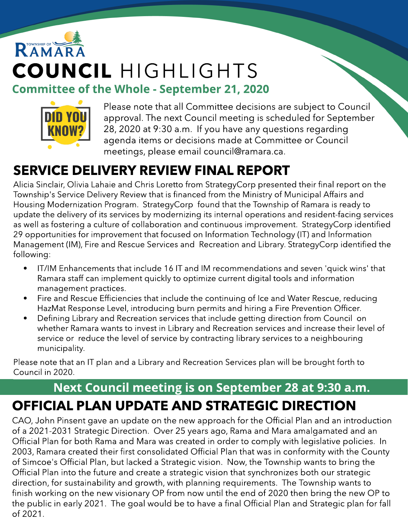## RAMAR COUNCIL HIGHLIGHTS Committee of the Whole - September 21, 2020



Please note that all Committee decisions are subject to Council approval. The next Council meeting is scheduled for September 28, 2020 at 9:30 a.m. If you have any questions regarding agenda items or decisions made at Committee or Council meetings, please email council@ramara.ca.

## SERVICE DELIVERY REVIEW FINAL REPORT

Alicia Sinclair, Olivia Lahaie and Chris Loretto from StrategyCorp presented their final report on the Township's Service Delivery Review that is financed from the Ministry of Municipal Affairs and Housing Modernization Program. StrategyCorp found that the Township of Ramara is ready to update the delivery of its services by modernizing its internal operations and resident-facing services as well as fostering a culture of collaboration and continuous improvement. StrategyCorp identified 29 opportunities for improvement that focused on Information Technology (IT) and Information Management (IM), Fire and Rescue Services and Recreation and Library. StrategyCorp identified the following:

- IT/IM Enhancements that include 16 IT and IM recommendations and seven 'quick wins' that Ramara staff can implement quickly to optimize current digital tools and information management practices.
- Fire and Rescue Efficiencies that include the continuing of Ice and Water Rescue, reducing HazMat Response Level, introducing burn permits and hiring a Fire Prevention Officer.
- Defining Library and Recreation services that include getting direction from Council on whether Ramara wants to invest in Library and Recreation services and increase their level of service or reduce the level of service by contracting library services to a neighbouring municipality.

Please note that an IT plan and a Library and Recreation Services plan will be brought forth to Council in 2020.

#### Next Council meeting is on September 28 at 9:30 a.m. OFFICIAL PLAN UPDATE AND STRATEGIC DIRECTION

CAO, John Pinsent gave an update on the new approach for the Official Plan and an introduction of a 2021-2031 Strategic Direction. Over 25 years ago, Rama and Mara amalgamated and an Official Plan for both Rama and Mara was created in order to comply with legislative policies. In 2003, Ramara created their first consolidated Official Plan that was in conformity with the County of Simcoe's Official Plan, but lacked a Strategic vision. Now, the Township wants to bring the Official Plan into the future and create a strategic vision that synchronizes both our strategic direction, for sustainability and growth, with planning requirements. The Township wants to finish working on the new visionary OP from now until the end of 2020 then bring the new OP to the public in early 2021. The goal would be to have a final Official Plan and Strategic plan for fall of 2021.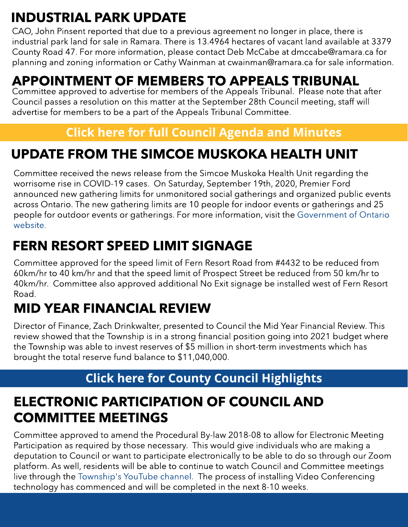## INDUSTRIAL PARK UPDATE

CAO, John Pinsent reported that due to a previous agreement no longer in place, there is industrial park land for sale in Ramara. There is 13.4964 hectares of vacant land available at 3379 County Road 47. For more information, please contact Deb McCabe at dmccabe@ramara.ca for planning and zoning information or Cathy Wainman at cwainman@ramara.ca for sale information.

#### APPOINTMENT OF MEMBERS TO APPEALS TRIBUNAL

Committee approved to advertise for members of the Appeals Tribunal. Please note that after Council passes a resolution on this matter at the September 28th Council meeting, staff will advertise for members to be a part of the Appeals Tribunal Committee.

#### **[Click](https://ramara.civicweb.net/portal/) [here](https://ramara.civicweb.net/portal/) [for](https://ramara.civicweb.net/portal/) [full](https://ramara.civicweb.net/portal/) [Council](https://ramara.civicweb.net/portal/) [Agenda](https://ramara.civicweb.net/portal/) [and](https://ramara.civicweb.net/portal/) [Minut](https://ramara.civicweb.net/portal/)es**

### UPDATE FROM THE SIMCOE MUSKOKA HEALTH UNIT

Committee received the news release from the Simcoe Muskoka Health Unit regarding the worrisome rise in COVID-19 cases. On Saturday, September 19th, 2020, Premier Ford announced new gathering limits for unmonitored social gatherings and organized public events across Ontario. The new gathering limits are 10 people for indoor events or gatherings and 25 people for outdoor events or gatherings. For more information, visit the [Government](https://www.ontario.ca/page/reopening-ontario-stages#gathering-changes) [of](https://www.ontario.ca/page/reopening-ontario-stages#gathering-changes) [Ontario](https://www.ontario.ca/page/reopening-ontario-stages#gathering-changes) [website.](https://www.ontario.ca/page/reopening-ontario-stages#gathering-changes)

### FERN RESORT SPEED LIMIT SIGNAGE

Committee approved for the speed limit of Fern Resort Road from #4432 to be reduced from 60km/hr to 40 km/hr and that the speed limit of Prospect Street be reduced from 50 km/hr to 40km/hr. Committee also approved additional No Exit signage be installed west of Fern Resort Road.

## MID YEAR FINANCIAL REVIEW

Director of Finance, Zach Drinkwalter, presented to Council the Mid Year Financial Review. This review showed that the Township is in a strong financial position going into 2021 budget where the Township was able to invest reserves of \$5 million in short-term investments which has brought the total reserve fund balance to \$11,040,000.

#### **[Click](https://ramara.civicweb.net/portal/) [here](https://ramara.civicweb.net/portal/) [for](https://ramara.civicweb.net/portal/) [Count](https://www.simcoe.ca/dpt/ccd/newsletters)y [Council](https://www.simcoe.ca/dpt/ccd/newsletters) [Highlight](https://www.simcoe.ca/dpt/ccd/newsletters)s**

### ELECTRONIC PARTICIPATION OF COUNCIL AND COMMITTEE MEETINGS

Committee approved to amend the Procedural By-law 2018-08 to allow for Electronic Meeting Participation as required by those necessary. This would give individuals who are making a deputation to Council or want to participate electronically to be able to do so through our Zoom platform. As well, residents will be able to continue to watch Council and Committee meetings live through the [Township's](https://www.youtube.com/channel/UClYspODBjK5nNnr9XtC7oug?view_as=subscriber) [YouTube](https://www.youtube.com/channel/UClYspODBjK5nNnr9XtC7oug?view_as=subscriber) [channel.](https://www.youtube.com/channel/UClYspODBjK5nNnr9XtC7oug?view_as=subscriber) The process of installing Video Conferencing technology has commenced and will be completed in the next 8-10 weeks.